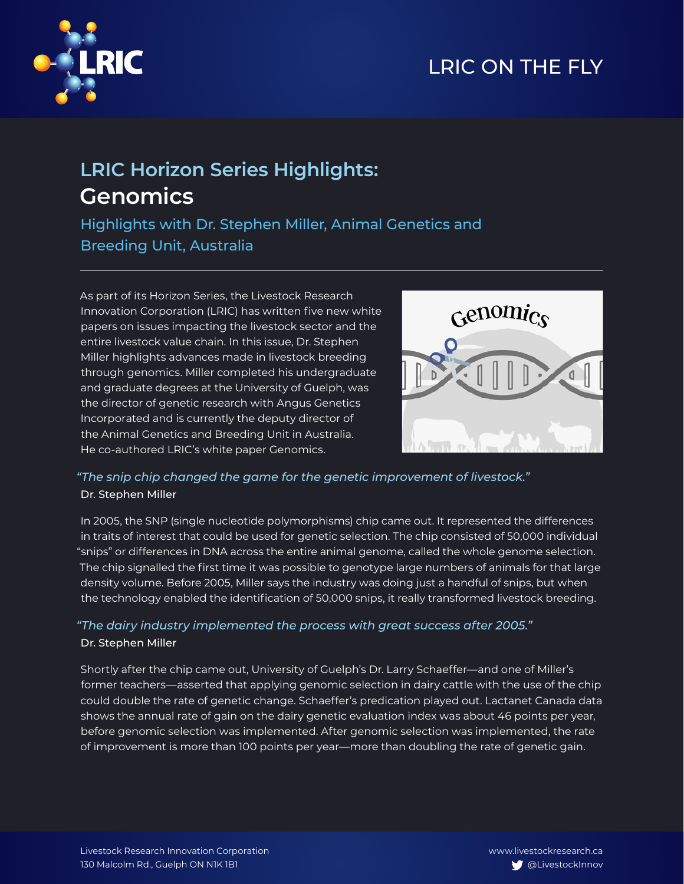# LRIC ON THE FLY



## **LRIC Horizon Series Highlights: Genomics**

Highlights with Dr. Stephen Miller, Animal Genetics and Breeding Unit, Australia

As part of its Horizon Series, the Livestock Research Innovation Corporation (LRIC) has written five new white papers on issues impacting the livestock sector and the entire livestock value chain. In this issue, Dr. Stephen Miller highlights advances made in livestock breeding through genomics. Miller completed his undergraduate and graduate degrees at the University of Guelph, was the director of genetic research with Angus Genetics Incorporated and is currently the deputy director of the Animal Genetics and Breeding Unit in Australia. He co-authored LRIC's white paper Genomics.



### *"The snip chip changed the game for the genetic improvement of livestock."* Dr. Stephen Miller

In 2005, the SNP (single nucleotide polymorphisms) chip came out. It represented the differences in traits of interest that could be used for genetic selection. The chip consisted of 50,000 individual "snips" or differences in DNA across the entire animal genome, called the whole genome selection. The chip signalled the first time it was possible to genotype large numbers of animals for that large density volume. Before 2005, Miller says the industry was doing just a handful of snips, but when the technology enabled the identification of 50,000 snips, it really transformed livestock breeding.

### *"The dairy industry implemented the process with great success after 2005."* Dr. Stephen Miller

Shortly after the chip came out, University of Guelph's Dr. Larry Schaeffer—and one of Miller's former teachers—asserted that applying genomic selection in dairy cattle with the use of the chip could double the rate of genetic change. Schaeffer's predication played out. Lactanet Canada data shows the annual rate of gain on the dairy genetic evaluation index was about 46 points per year, before genomic selection was implemented. After genomic selection was implemented, the rate of improvement is more than 100 points per year—more than doubling the rate of genetic gain.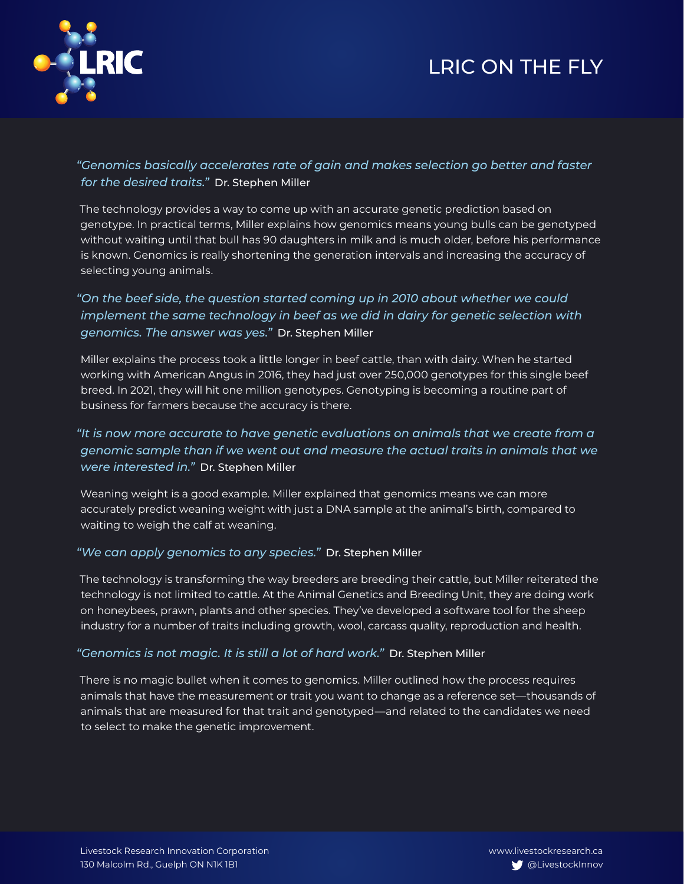## LRIC ON THE FLY



*"Genomics basically accelerates rate of gain and makes selection go better and faster for the desired traits."* Dr. Stephen Miller

The technology provides a way to come up with an accurate genetic prediction based on genotype. In practical terms, Miller explains how genomics means young bulls can be genotyped without waiting until that bull has 90 daughters in milk and is much older, before his performance is known. Genomics is really shortening the generation intervals and increasing the accuracy of selecting young animals.

*"On the beef side, the question started coming up in 2010 about whether we could implement the same technology in beef as we did in dairy for genetic selection with genomics. The answer was yes."* Dr. Stephen Miller

Miller explains the process took a little longer in beef cattle, than with dairy. When he started working with American Angus in 2016, they had just over 250,000 genotypes for this single beef breed. In 2021, they will hit one million genotypes. Genotyping is becoming a routine part of business for farmers because the accuracy is there.

### *"It is now more accurate to have genetic evaluations on animals that we create from a genomic sample than if we went out and measure the actual traits in animals that we were interested in."* Dr. Stephen Miller

Weaning weight is a good example. Miller explained that genomics means we can more accurately predict weaning weight with just a DNA sample at the animal's birth, compared to waiting to weigh the calf at weaning.

#### *"We can apply genomics to any species."* Dr. Stephen Miller

The technology is transforming the way breeders are breeding their cattle, but Miller reiterated the technology is not limited to cattle. At the Animal Genetics and Breeding Unit, they are doing work on honeybees, prawn, plants and other species. They've developed a software tool for the sheep industry for a number of traits including growth, wool, carcass quality, reproduction and health.

#### *"Genomics is not magic. It is still a lot of hard work."* Dr. Stephen Miller

There is no magic bullet when it comes to genomics. Miller outlined how the process requires animals that have the measurement or trait you want to change as a reference set—thousands of animals that are measured for that trait and genotyped—and related to the candidates we need to select to make the genetic improvement.